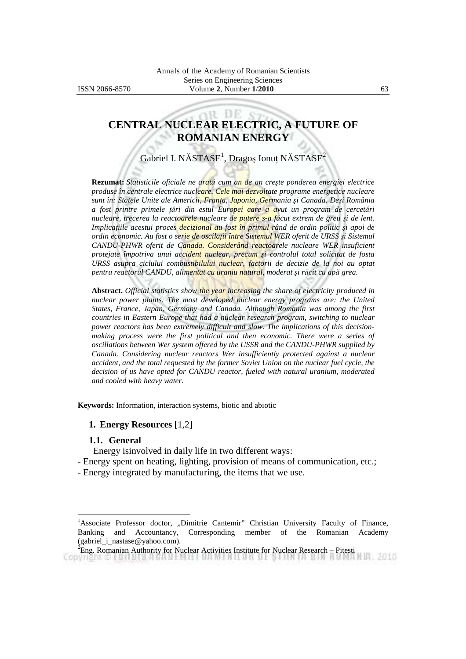# **CENTRAL NUCLEAR ELECTRIC, A FUTURE OF ROMANIAN ENERGY**

12 D.F

Gabriel I. NĂSTASE<sup>1</sup>, Dragoș Ionuț NĂSTASE<sup>2</sup>

**Rezumat:** *Statisticile oficiale ne arată cum an de an creşte ponderea energiei electrice produse în centrale electrice nucleare. Cele mai dezvoltate programe energetice nucleare sunt în: Statele Unite ale Americii, Franţa, Japonia, Germania şi Canada. Deşi România a fost printre primele ţări din estul Europei care a avut un program de cercetări nucleare, trecerea la reactoarele nucleare de putere s-a făcut extrem de greu şi de lent. Implicatiile acestui proces decizional au fost în primul rând de ordin politic și apoi de ordin economic. Au fost o serie de oscilaţii între Sistemul WER oferit de URSS şi Sistemul CANDU-PHWR oferit de Canada. Considerând reactoarele nucleare WER insuficient protejate împotriva unui accident nuclear, precum şi controlul total solicitat de fosta URSS asupra ciclului combustibilului nuclear, factorii de decizie de la noi au optat pentru reactorul CANDU, alimentat cu uraniu natural, moderat şi răcit cu apă grea.*

**Abstract.** *Official statistics show the year increasing the share of electricity produced in nuclear power plants. The most developed nuclear energy programs are: the United States, France, Japan, Germany and Canada. Although Romania was among the first countries in Eastern Europe that had a nuclear research program, switching to nuclear power reactors has been extremely difficult and slow. The implications of this decisionmaking process were the first political and then economic. There were a series of oscillations between Wer system offered by the USSR and the CANDU-PHWR supplied by Canada. Considering nuclear reactors Wer insufficiently protected against a nuclear accident, and the total requested by the former Soviet Union on the nuclear fuel cycle, the decision of us have opted for CANDU reactor, fueled with natural uranium, moderated and cooled with heavy water.* 

**Keywords:** Information, interaction systems, biotic and abiotic

#### **1. Energy Resources** [1,2]

#### **1.1. General**

 $\overline{a}$ 

Energy isinvolved in daily life in two different ways:

- Energy spent on heating, lighting, provision of means of communication, etc.;
- Energy integrated by manufacturing, the items that we use.

<sup>&</sup>lt;sup>1</sup>Associate Professor doctor, "Dimitrie Cantemir" Christian University Faculty of Finance, Banking and Accountancy, Corresponding member of the Romanian Academy (gabriel\_i\_nastase@yahoo.com).

 ${}^{2}$ Eng. Romanian Authority for Nuclear Activities Institute for Nuclear Research – Pitesti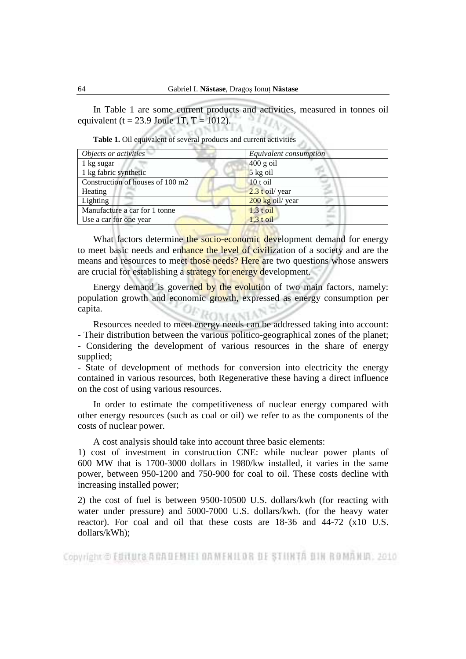In Table 1 are some current products and activities, measured in tonnes oil equivalent (t = 23.9 Joule 1T, T = 1012).  $\frac{1}{2}$ 

| Objects or activities            | Equivalent consumption |
|----------------------------------|------------------------|
| 1 kg sugar                       | $400$ g oil            |
| 1 kg fabric synthetic            | $5$ kg oil             |
| Construction of houses of 100 m2 | 10 t oil               |
| Heating                          | $2.3$ t oil/ year      |
| Lighting                         | $200$ kg oil/ year     |
| Manufacture a car for 1 tonne    | $1,3$ t oil            |
| Use a car for one year           | $1.3 \text{ toil}$     |
|                                  |                        |

 **Table 1.** Oil equivalent of several products and current activities

What factors determine the socio-economic development demand for energy to meet basic needs and enhance the level of civilization of a society and are the means and resources to meet those needs? Here are two questions whose answers are crucial for establishing a strategy for energy development.

Energy demand is governed by the evolution of two main factors, namely: population growth and economic growth, expressed as energy consumption per capita. ROMANIA

 Resources needed to meet energy needs can be addressed taking into account: - Their distribution between the various politico-geographical zones of the planet; - Considering the development of various resources in the share of energy supplied;

- State of development of methods for conversion into electricity the energy contained in various resources, both Regenerative these having a direct influence on the cost of using various resources.

 In order to estimate the competitiveness of nuclear energy compared with other energy resources (such as coal or oil) we refer to as the components of the costs of nuclear power.

A cost analysis should take into account three basic elements:

1) cost of investment in construction CNE: while nuclear power plants of 600 MW that is 1700-3000 dollars in 1980/kw installed, it varies in the same power, between 950-1200 and 750-900 for coal to oil. These costs decline with increasing installed power;

2) the cost of fuel is between 9500-10500 U.S. dollars/kwh (for reacting with water under pressure) and 5000-7000 U.S. dollars/kwh. (for the heavy water reactor). For coal and oil that these costs are 18-36 and 44-72 (x10 U.S. dollars/kWh);

Copyright © Editura A CAUEMEI DAMENILOR DE STIINTA DIN ROMANIA, 2010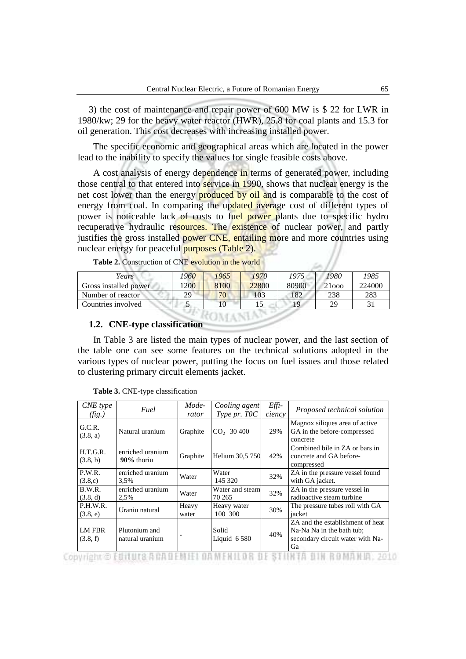3) the cost of maintenance and repair power of 600 MW is \$ 22 for LWR in 1980/kw; 29 for the heavy water reactor (HWR), 25.8 for coal plants and 15.3 for oil generation. This cost decreases with increasing installed power.

 The specific economic and geographical areas which are located in the power lead to the inability to specify the values for single feasible costs above.

A cost analysis of energy dependence in terms of generated power, including those central to that entered into service in 1990, shows that nuclear energy is the net cost lower than the energy **produced by oil and** is comparable to the cost of energy from coal. In comparing the updated average cost of different types of power is noticeable lack of costs to fuel power plants due to specific hydro recuperative hydraulic resources. The existence of nuclear power, and partly justifies the gross installed power CNE, entailing more and more countries using nuclear energy for peaceful purposes (Table 2).

| Years                 | '960 | 1965 | 1970  | 1975  | 1980  | 1985   |
|-----------------------|------|------|-------|-------|-------|--------|
| Gross installed power | 1200 | 8100 | 22800 | 80900 | 21000 | 224000 |
| Number of reactor     | 29   | 70   | 103   | 182   | 238   | 283    |
| Countries involved    |      |      |       |       | 29    | 31     |

Table 2. Construction of CNE evolution in the world

# **1.2. CNE-type classification**

 In Table 3 are listed the main types of nuclear power, and the last section of the table one can see some features on the technical solutions adopted in the various types of nuclear power, putting the focus on fuel issues and those related to clustering primary circuit elements jacket.

| CNE type<br>(fig.)        | Fuel                                                                                                         | Mode-<br>rator | Cooling agent<br>Type pr. TOC              | Effi-<br>ciency | Proposed technical solution                                                                                                                       |
|---------------------------|--------------------------------------------------------------------------------------------------------------|----------------|--------------------------------------------|-----------------|---------------------------------------------------------------------------------------------------------------------------------------------------|
| G.C.R.<br>(3.8, a)        | Natural uranium                                                                                              | Graphite       | $CO2$ 30 400                               | 29%             | Magnox siliques area of active<br>GA in the before-compressed<br>concrete                                                                         |
| H.T.G.R.<br>(3.8, b)      | enriched uranium<br>90% thoriu                                                                               | Graphite       | Helium 30,5 750                            | 42%             | Combined bile in ZA or bars in<br>concrete and GA before-<br>compressed                                                                           |
| P.W.R.<br>(3.8,c)         | enriched uranium<br>3,5%                                                                                     | Water          | Water<br>145 320                           | 32%             | ZA in the pressure vessel found<br>with GA jacket.                                                                                                |
| B.W.R.<br>(3.8, d)        | enriched uranium<br>2,5%                                                                                     | Water          | Water and steam<br>70 265                  | 32%             | ZA in the pressure vessel in<br>radioactive steam turbine                                                                                         |
| P.H.W.R.<br>(3.8, e)      | Uraniu natural                                                                                               | Heavy<br>water | Heavy water<br>100 300                     | 30%             | The pressure tubes roll with GA<br>iacket                                                                                                         |
| <b>LM FBR</b><br>(3.8, f) | Plutonium and<br>natural uranium<br>the second company of additional and control to the second of the second |                | Solid<br>Liquid 6 580<br><b>CONTRACTOR</b> | 40%             | ZA and the establishment of heat<br>Na-Na Na in the bath tub;<br>secondary circuit water with Na-<br>Ga<br>24 全市的 1 0% 2% 全市 9% 公司 3 PM 1 1 10 PM |

 **Table 3.** CNE-type classification

Copyright © FUILUIS ANADEMIEL DAMENILOR DE STIINTA DIN ROMANIA, 2010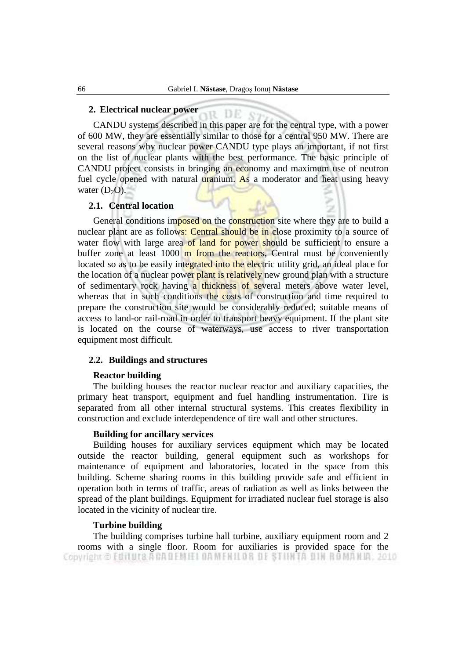ir DE

#### **2. Electrical nuclear power**

 CANDU systems described in this paper are for the central type, with a power of 600 MW, they are essentially similar to those for a central 950 MW. There are several reasons why nuclear power CANDU type plays an important, if not first on the list of nuclear plants with the best performance. The basic principle of CANDU project consists in bringing an economy and maximum use of neutron fuel cycle opened with natural uranium. As a moderator and heat using heavy water  $(D<sub>2</sub>O)$ .

#### **2.1. Central location**

General conditions imposed on the construction site where they are to build a nuclear plant are as follows: Central should be in close proximity to a source of water flow with large area of land for power should be sufficient to ensure a buffer zone at least 1000 m from the reactors, Central must be conveniently located so as to be easily integrated into the electric utility grid, an ideal place for the location of a nuclear power plant is relatively new ground plan with a structure of sedimentary rock having a thickness of several meters above water level, whereas that in such conditions the costs of construction and time required to prepare the construction site would be considerably reduced; suitable means of access to land-or rail-road in order to transport heavy equipment. If the plant site is located on the course of waterways, use access to river transportation equipment most difficult.

#### **2.2. Buildings and structures**

#### **Reactor building**

 The building houses the reactor nuclear reactor and auxiliary capacities, the primary heat transport, equipment and fuel handling instrumentation. Tire is separated from all other internal structural systems. This creates flexibility in construction and exclude interdependence of tire wall and other structures.

#### **Building for ancillary services**

 Building houses for auxiliary services equipment which may be located outside the reactor building, general equipment such as workshops for maintenance of equipment and laboratories, located in the space from this building. Scheme sharing rooms in this building provide safe and efficient in operation both in terms of traffic, areas of radiation as well as links between the spread of the plant buildings. Equipment for irradiated nuclear fuel storage is also located in the vicinity of nuclear tire.

#### **Turbine building**

 The building comprises turbine hall turbine, auxiliary equipment room and 2 rooms with a single floor. Room for auxiliaries is provided space for the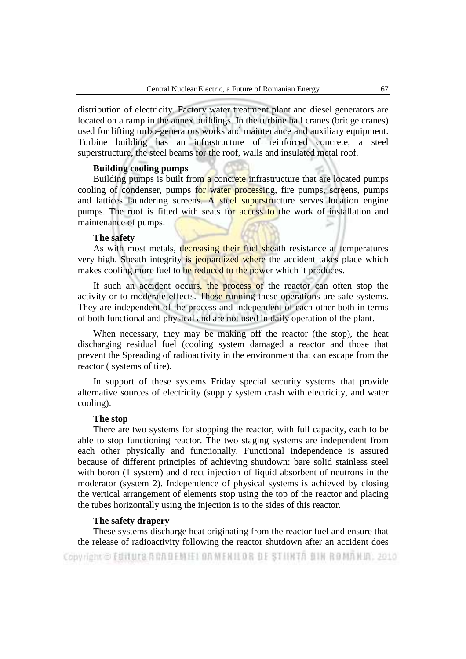distribution of electricity. Factory water treatment plant and diesel generators are located on a ramp in the annex buildings. In the turbine hall cranes (bridge cranes) used for lifting turbo-generators works and maintenance and auxiliary equipment. Turbine building has an infrastructure of reinforced concrete, a steel superstructure, the steel beams for the roof, walls and insulated metal roof.

## **Building cooling pumps**

Building pumps is built from a concrete infrastructure that are located pumps cooling of condenser, pumps for water processing, fire pumps, screens, pumps and lattices laundering screens. A steel superstructure serves location engine pumps. The roof is fitted with seats for access to the work of installation and maintenance of pumps.

# **The safety**

As with most metals, decreasing their fuel sheath resistance at temperatures very high. Sheath integrity is jeopardized where the accident takes place which makes cooling more fuel to be reduced to the power which it produces.

If such an accident occurs, the process of the reactor can often stop the activity or to moderate effects. Those running these operations are safe systems. They are independent of the process and independent of each other both in terms of both functional and physical and are not used in daily operation of the plant.

 When necessary, they may be making off the reactor (the stop), the heat discharging residual fuel (cooling system damaged a reactor and those that prevent the Spreading of radioactivity in the environment that can escape from the reactor ( systems of tire).

 In support of these systems Friday special security systems that provide alternative sources of electricity (supply system crash with electricity, and water cooling).

#### **The stop**

 There are two systems for stopping the reactor, with full capacity, each to be able to stop functioning reactor. The two staging systems are independent from each other physically and functionally. Functional independence is assured because of different principles of achieving shutdown: bare solid stainless steel with boron (1 system) and direct injection of liquid absorbent of neutrons in the moderator (system 2). Independence of physical systems is achieved by closing the vertical arrangement of elements stop using the top of the reactor and placing the tubes horizontally using the injection is to the sides of this reactor.

## **The safety drapery**

 These systems discharge heat originating from the reactor fuel and ensure that the release of radioactivity following the reactor shutdown after an accident does Copyright © Editura A CADEMIEI DAMENILOR DE STIINTA DIN ROMANIA, 2010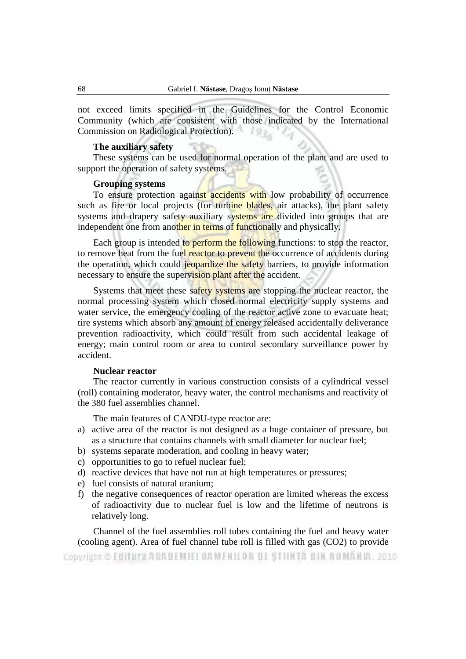not exceed limits specified in the Guidelines for the Control Economic Community (which are consistent with those indicated by the International Commission on Radiological Protection).

#### **The auxiliary safety**

 These systems can be used for normal operation of the plant and are used to support the operation of safety systems.

# **Grouping systems**

To ensure protection against accidents with low probability of occurrence such as fire or local projects (for turbine blades, air attacks), the plant safety systems and drapery safety auxiliary systems are divided into groups that are independent one from another in terms of functionally and physically.

Each group is intended to perform the following functions: to stop the reactor, to remove heat from the fuel reactor to prevent the occurrence of accidents during the operation, which could jeopardize the safety barriers, to provide information necessary to ensure the supervision plant after the accident.

Systems that meet these safety systems are stopping the nuclear reactor, the normal processing system which closed normal electricity supply systems and water service, the emergency cooling of the reactor active zone to evacuate heat; tire systems which absorb any amount of energy released accidentally deliverance prevention radioactivity, which could result from such accidental leakage of energy; main control room or area to control secondary surveillance power by accident.

#### **Nuclear reactor**

 The reactor currently in various construction consists of a cylindrical vessel (roll) containing moderator, heavy water, the control mechanisms and reactivity of the 380 fuel assemblies channel.

The main features of CANDU-type reactor are:

- a) active area of the reactor is not designed as a huge container of pressure, but as a structure that contains channels with small diameter for nuclear fuel;
- b) systems separate moderation, and cooling in heavy water;
- c) opportunities to go to refuel nuclear fuel;
- d) reactive devices that have not run at high temperatures or pressures;
- e) fuel consists of natural uranium;
- f) the negative consequences of reactor operation are limited whereas the excess of radioactivity due to nuclear fuel is low and the lifetime of neutrons is relatively long.

 Channel of the fuel assemblies roll tubes containing the fuel and heavy water (cooling agent). Area of fuel channel tube roll is filled with gas (CO2) to provide Copyright © Editura A CADEMIEI DAMENILOR DE STIINTA DIN ROMANIA, 2010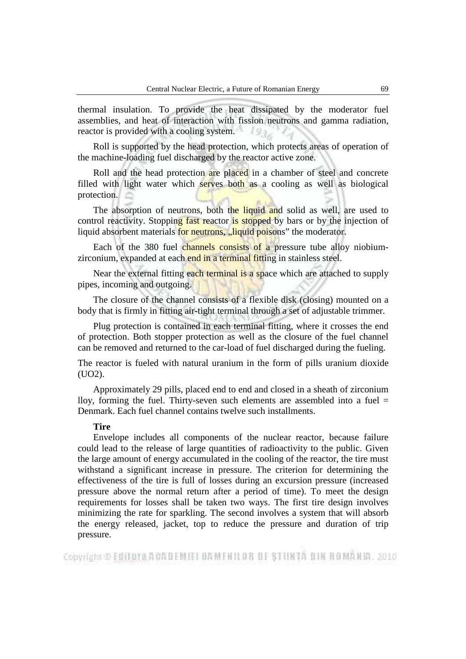thermal insulation. To provide the heat dissipated by the moderator fuel assemblies, and heat of interaction with fission neutrons and gamma radiation, reactor is provided with a cooling system.

 Roll is supported by the head protection, which protects areas of operation of the machine-loading fuel discharged by the reactor active zone.

Roll and the head protection are placed in a chamber of steel and concrete filled with light water which serves both as a cooling as well as biological protection.

The absorption of neutrons, both the liquid and solid as well, are used to control reactivity. Stopping fast reactor is stopped by bars or by the injection of liquid absorbent materials for neutrons, "liquid poisons" the moderator.

Each of the 380 fuel channels consists of a pressure tube alloy niobiumzirconium, expanded at each end in a terminal fitting in stainless steel.

Near the external fitting each terminal is a space which are attached to supply pipes, incoming and outgoing.

The closure of the channel consists of a flexible disk (closing) mounted on a body that is firmly in fitting air-tight terminal through a set of adjustable trimmer.

 Plug protection is contained in each terminal fitting, where it crosses the end of protection. Both stopper protection as well as the closure of the fuel channel can be removed and returned to the car-load of fuel discharged during the fueling.

The reactor is fueled with natural uranium in the form of pills uranium dioxide (UO2).

 Approximately 29 pills, placed end to end and closed in a sheath of zirconium lloy, forming the fuel. Thirty-seven such elements are assembled into a fuel  $=$ Denmark. Each fuel channel contains twelve such installments.

#### **Tire**

 Envelope includes all components of the nuclear reactor, because failure could lead to the release of large quantities of radioactivity to the public. Given the large amount of energy accumulated in the cooling of the reactor, the tire must withstand a significant increase in pressure. The criterion for determining the effectiveness of the tire is full of losses during an excursion pressure (increased pressure above the normal return after a period of time). To meet the design requirements for losses shall be taken two ways. The first tire design involves minimizing the rate for sparkling. The second involves a system that will absorb the energy released, jacket, top to reduce the pressure and duration of trip pressure.

Copyright © Editura A CAUEM EL DAMENILOR DE STIINTA DIN ROMANIA, 2010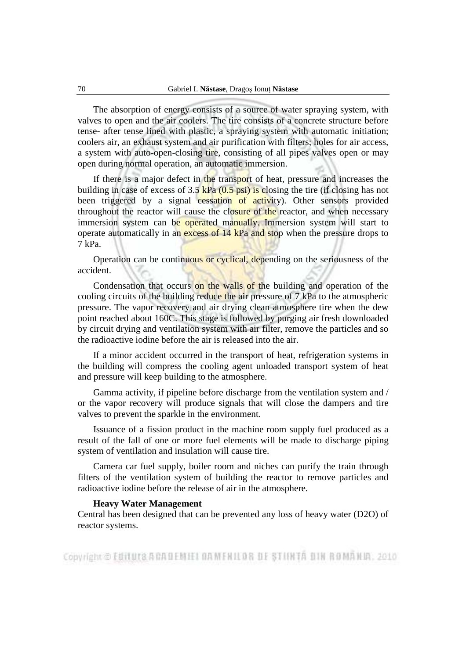The absorption of energy consists of a source of water spraying system, with valves to open and the air coolers. The tire consists of a concrete structure before tense- after tense lined with plastic, a spraying system with automatic initiation; coolers air, an exhaust system and air purification with filters; holes for air access, a system with auto-open-closing tire, consisting of all pipes valves open or may open during normal operation, an automatic immersion.

If there is a major defect in the transport of heat, pressure and increases the building in case of excess of  $3.5 \text{ kPa}$   $(0.5 \text{ psi})$  is closing the tire (if closing has not been triggered by a signal cessation of activity). Other sensors provided throughout the reactor will cause the closure of the reactor, and when necessary immersion system can be operated manually. Immersion system will start to operate automatically in an excess of 14 kPa and stop when the pressure drops to 7 kPa.

 Operation can be continuous or cyclical, depending on the seriousness of the accident.

Condensation that occurs on the walls of the building and operation of the cooling circuits of the building reduce the air pressure of 7 kPa to the atmospheric pressure. The vapor recovery and air drying clean atmosphere tire when the dew point reached about 160C. This stage is followed by purging air fresh downloaded by circuit drying and ventilation system with air filter, remove the particles and so the radioactive iodine before the air is released into the air.

 If a minor accident occurred in the transport of heat, refrigeration systems in the building will compress the cooling agent unloaded transport system of heat and pressure will keep building to the atmosphere.

 Gamma activity, if pipeline before discharge from the ventilation system and / or the vapor recovery will produce signals that will close the dampers and tire valves to prevent the sparkle in the environment.

 Issuance of a fission product in the machine room supply fuel produced as a result of the fall of one or more fuel elements will be made to discharge piping system of ventilation and insulation will cause tire.

 Camera car fuel supply, boiler room and niches can purify the train through filters of the ventilation system of building the reactor to remove particles and radioactive iodine before the release of air in the atmosphere.

#### **Heavy Water Management**

Central has been designed that can be prevented any loss of heavy water (D2O) of reactor systems.

Copyright © Editura A CAUEMEI DAMENILOR DE STIINTA DIN ROMANIA, 2010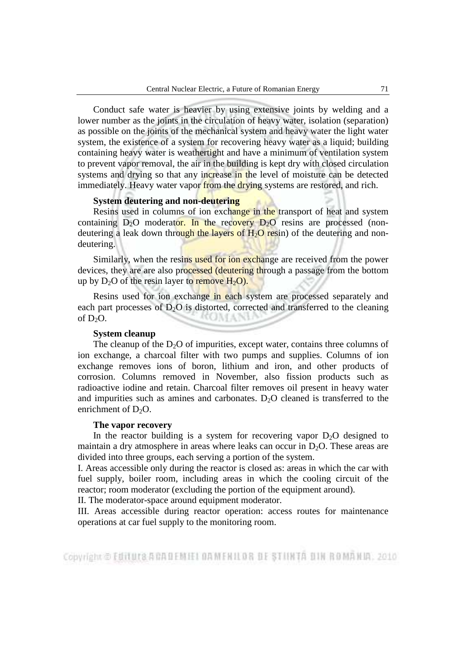Conduct safe water is heavier by using extensive joints by welding and a lower number as the joints in the circulation of heavy water, isolation (separation) as possible on the joints of the mechanical system and heavy water the light water system, the existence of a system for recovering heavy water as a liquid; building containing heavy water is weathertight and have a minimum of ventilation system to prevent vapor removal, the air in the building is kept dry with closed circulation systems and drying so that any increase in the level of moisture can be detected immediately. Heavy water vapor from the drying systems are restored, and rich.

#### **System deutering and non-deutering**

Resins used in columns of ion exchange in the transport of heat and system containing  $D_2O$  moderator. In the recovery  $D_2O$  resins are processed (nondeutering a leak down through the layers of  $H_2O$  resin) of the deutering and nondeutering.

Similarly, when the resins used for ion exchange are received from the power devices, they are are also processed (deutering through a passage from the bottom up by  $D_2O$  of the resin layer to remove  $H_2O$ .

Resins used for ion exchange in each system are processed separately and each part processes of  $D_2O$  is distorted, corrected and transferred to the cleaning of  $D_2O$ . **COMPANY** 

# **System cleanup**

The cleanup of the  $D_2O$  of impurities, except water, contains three columns of ion exchange, a charcoal filter with two pumps and supplies. Columns of ion exchange removes ions of boron, lithium and iron, and other products of corrosion. Columns removed in November, also fission products such as radioactive iodine and retain. Charcoal filter removes oil present in heavy water and impurities such as amines and carbonates.  $D<sub>2</sub>O$  cleaned is transferred to the enrichment of  $D_2O$ .

#### **The vapor recovery**

In the reactor building is a system for recovering vapor  $D_2O$  designed to maintain a dry atmosphere in areas where leaks can occur in  $D_2O$ . These areas are divided into three groups, each serving a portion of the system.

I. Areas accessible only during the reactor is closed as: areas in which the car with fuel supply, boiler room, including areas in which the cooling circuit of the reactor; room moderator (excluding the portion of the equipment around).

II. The moderator-space around equipment moderator.

III. Areas accessible during reactor operation: access routes for maintenance operations at car fuel supply to the monitoring room.

Copyright © Editura A CAUEMEI DAMENILOR DE STIINTA DIN ROMANIA, 2010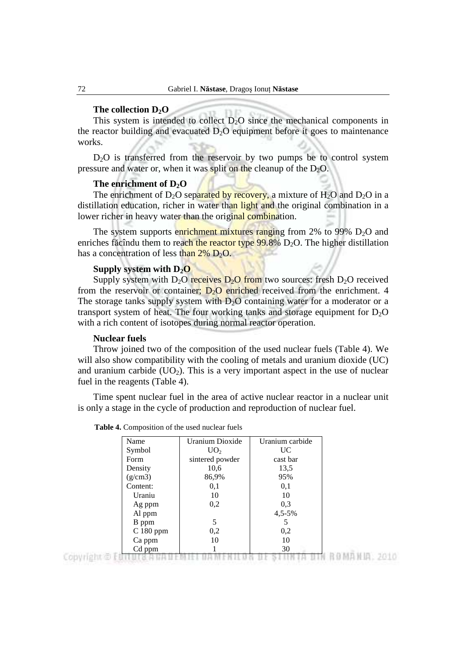# **The collection D2O**

This system is intended to collect  $D_2O$  since the mechanical components in the reactor building and evacuated  $D_2O$  equipment before it goes to maintenance works.

 $D<sub>2</sub>O$  is transferred from the reservoir by two pumps be to control system pressure and water or, when it was split on the cleanup of the  $D_2O$ .

#### **The enrichment of D2O**

The enrichment of D<sub>2</sub>O separated by recovery, a mixture of H<sub>2</sub>O and D<sub>2</sub>O in a distillation education, richer in water than light and the original combination in a lower richer in heavy water than the original combination.

The system supports enrichment mixtures ranging from 2% to 99%  $D_2O$  and enriches făcîndu them to reach the reactor type  $99.8\%$  D<sub>2</sub>O. The higher distillation has a concentration of less than  $2\%$  D<sub>2</sub>O.

#### **Supply system with D2O**

Supply system with D<sub>2</sub>O receives  $D_2O$  from two sources: fresh D<sub>2</sub>O received from the reservoir or container;  $D_2O$  enriched received from the enrichment. 4 The storage tanks supply system with  $D_2O$  containing water for a moderator or a transport system of heat. The four working tanks and storage equipment for  $D_2O$ with a rich content of isotopes during normal reactor operation.

#### **Nuclear fuels**

 Throw joined two of the composition of the used nuclear fuels (Table 4). We will also show compatibility with the cooling of metals and uranium dioxide (UC) and uranium carbide  $(UO_2)$ . This is a very important aspect in the use of nuclear fuel in the reagents (Table 4).

 Time spent nuclear fuel in the area of active nuclear reactor in a nuclear unit is only a stage in the cycle of production and reproduction of nuclear fuel.

| Name       | Uranium Dioxide                               | Uranium carbide |
|------------|-----------------------------------------------|-----------------|
| Symbol     | UO <sub>2</sub>                               | UC              |
| Form       | sintered powder                               | cast bar        |
| Density    | 10,6                                          | 13,5            |
| (g/cm3)    | 86,9%                                         | 95%             |
| Content:   | 0,1                                           | 0.1             |
| Uraniu     | 10                                            | 10              |
| Ag ppm     | 0,2                                           | 0,3             |
| Al ppm     |                                               | $4,5-5%$        |
| B ppm      | 5                                             |                 |
| $C180$ ppm | 0,2                                           | 0,2             |
| Ca ppm     | 10                                            | 10              |
| Cd ppm     | and the first party of the first state of the | 30              |

 **Table 4.** Composition of the used nuclear fuels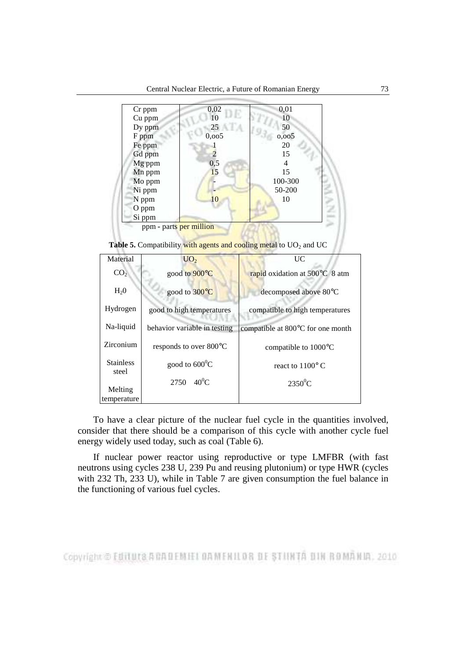

**Table 5.** Compatibility with agents and cooling metal to  $UO<sub>2</sub>$  and  $UC$ 

| Material                  | UO <sub>2</sub>              | UC                                          |
|---------------------------|------------------------------|---------------------------------------------|
| CO <sub>2</sub>           | good to 900°C                | rapid oxidation at 500°C 8 atm              |
| H <sub>2</sub> 0          | good to 300°C                | decomposed above 80°C                       |
| Hydrogen                  | good to high temperatures    | compatible to high temperatures             |
| Na-liquid                 | behavior variable in testing | compatible at $800^{\circ}$ C for one month |
| Zirconium                 | responds to over 800°C       | compatible to $1000^{\circ}$ C              |
| <b>Stainless</b><br>steel | good to $600^{\circ}$ C      | react to $1100^{\circ}$ C                   |
| Melting<br>temperature    | $2750 \quad 40^0C$           | $2350^0$ C                                  |

 To have a clear picture of the nuclear fuel cycle in the quantities involved, consider that there should be a comparison of this cycle with another cycle fuel energy widely used today, such as coal (Table 6).

 If nuclear power reactor using reproductive or type LMFBR (with fast neutrons using cycles 238 U, 239 Pu and reusing plutonium) or type HWR (cycles with 232 Th, 233 U), while in Table 7 are given consumption the fuel balance in the functioning of various fuel cycles.

Copyright © Editura A CAUEM EL DAMENILOR DE STIINTA DIN ROMANIA, 2010